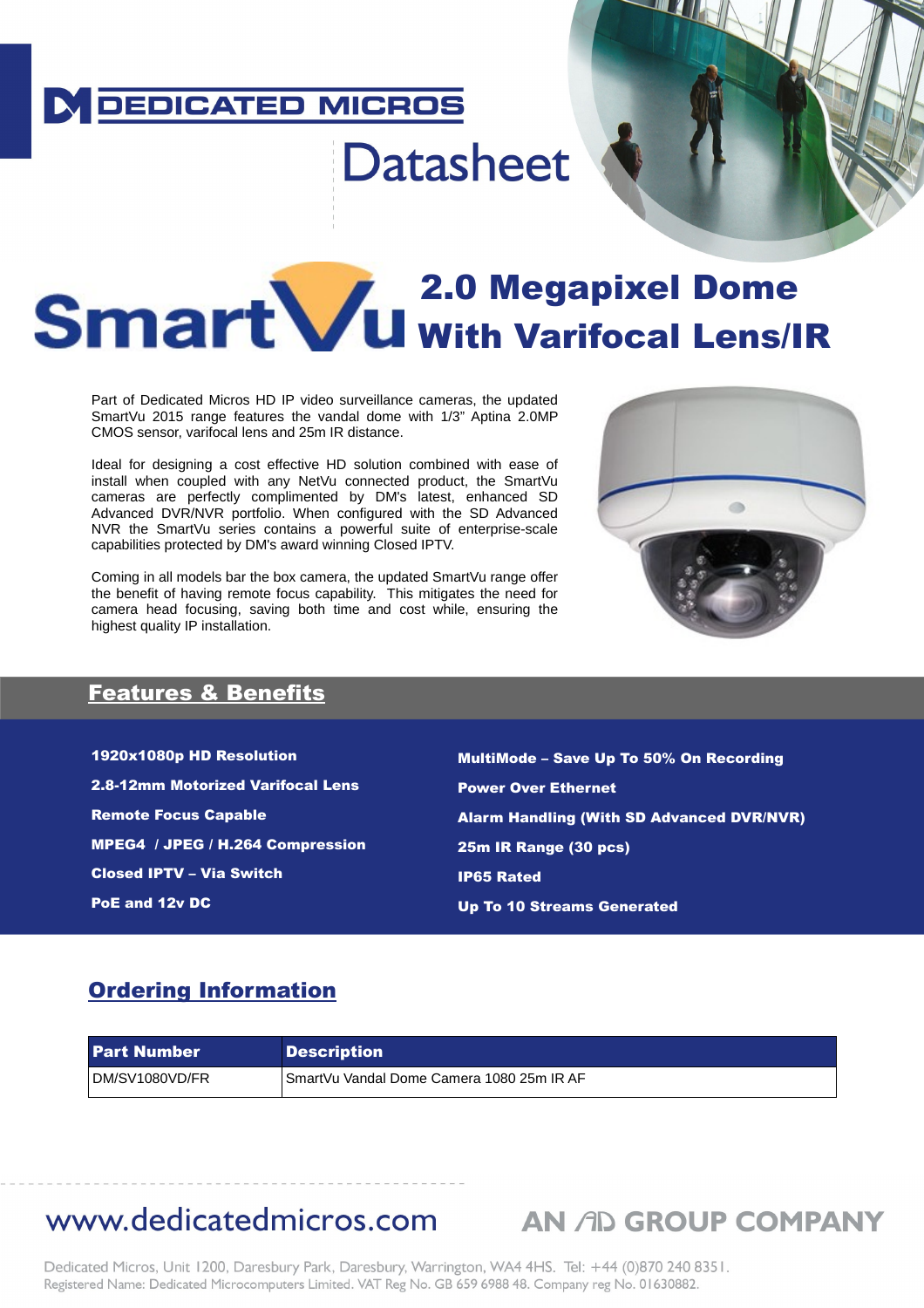### **DEDICATED MICROS**

# **Datasheet**

## **2.0 Megapixel Dome I I I GIT L WWE U With Varifocal Lens/IR**

Part of Dedicated Micros HD IP video surveillance cameras, the updated SmartVu 2015 range features the vandal dome with 1/3" Aptina 2.0MP CMOS sensor, varifocal lens and 25m IR distance.

Ideal for designing a cost effective HD solution combined with ease of install when coupled with any NetVu connected product, the SmartVu cameras are perfectly complimented by DM's latest, enhanced SD Advanced DVR/NVR portfolio. When configured with the SD Advanced NVR the SmartVu series contains a powerful suite of enterprise-scale capabilities protected by DM's award winning Closed IPTV.

Coming in all models bar the box camera, the updated SmartVu range offer the benefit of having remote focus capability. This mitigates the need for camera head focusing, saving both time and cost while, ensuring the highest quality IP installation.



**THE REAL PROPER** 

### Features & Benefits

1920x1080p HD Resolution 2.8-12mm Motorized Varifocal Lens Remote Focus Capable MPEG4 / JPEG / H.264 Compression Closed IPTV – Via Switch PoE and 12v DC

MultiMode – Save Up To 50% On Recording Power Over Ethernet Alarm Handling (With SD Advanced DVR/NVR) 25m IR Range (30 pcs) IP65 Rated Up To 10 Streams Generated

### Ordering Information

| <b>Part Number</b> | <b>Description</b>                        |
|--------------------|-------------------------------------------|
| DM/SV1080VD/FR     | SmartVu Vandal Dome Camera 1080 25m IR AF |

### www.dedicatedmicros.com AN AD GROUP COMPANY

Dedicated Micros, Unit 1200, Daresbury Park, Daresbury, Warrington, WA4 4HS. Tel: +44 (0)870 240 8351. Registered Name: Dedicated Microcomputers Limited. VAT Reg No. GB 659 6988 48. Company reg No. 01630882.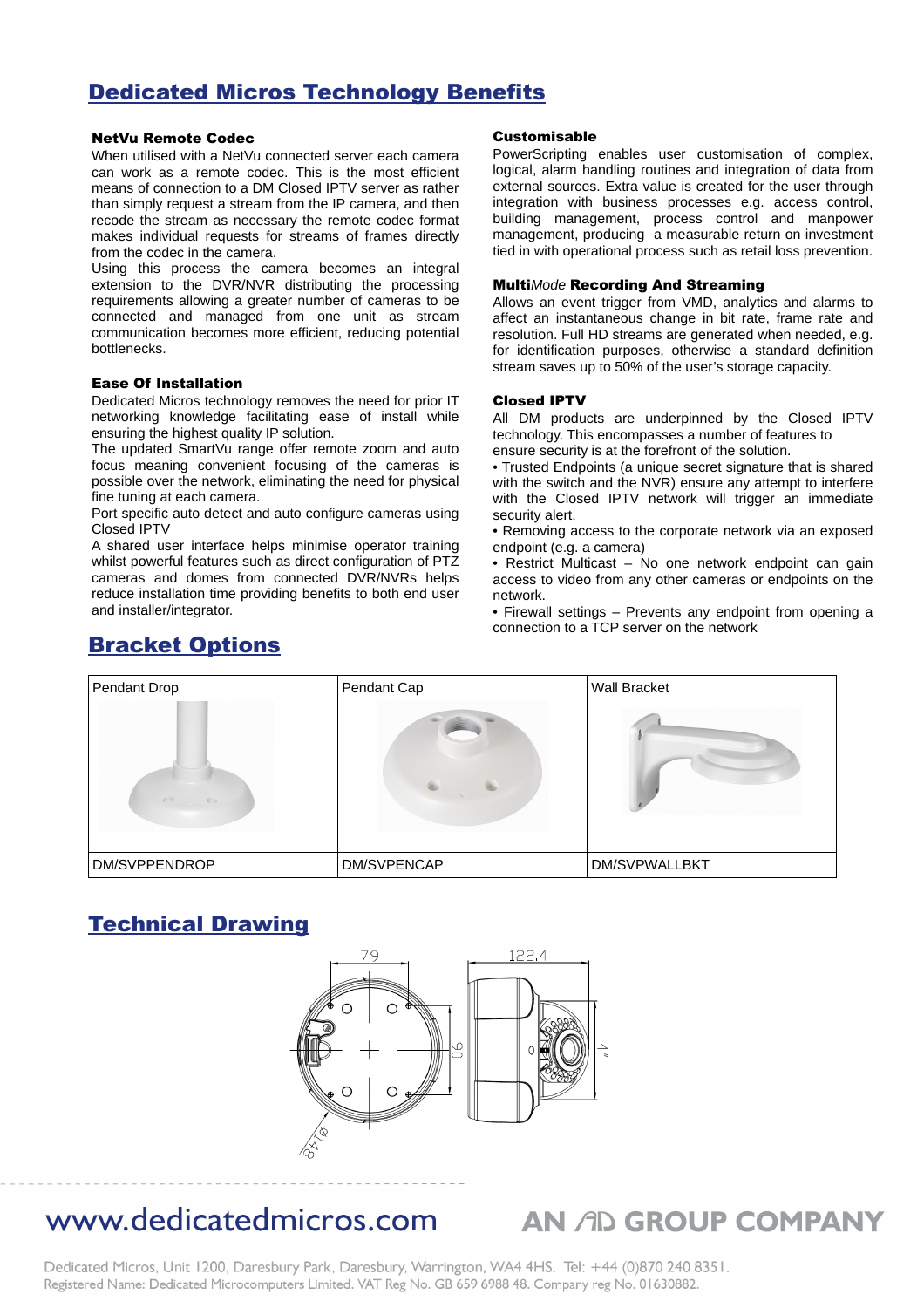### Dedicated Micros Technology Benefits

### NetVu Remote Codec

When utilised with a NetVu connected server each camera can work as a remote codec. This is the most efficient means of connection to a DM Closed IPTV server as rather than simply request a stream from the IP camera, and then recode the stream as necessary the remote codec format makes individual requests for streams of frames directly from the codec in the camera.

Using this process the camera becomes an integral extension to the DVR/NVR distributing the processing requirements allowing a greater number of cameras to be connected and managed from one unit as stream communication becomes more efficient, reducing potential bottlenecks.

#### Ease Of Installation

Dedicated Micros technology removes the need for prior IT networking knowledge facilitating ease of install while ensuring the highest quality IP solution.

The updated SmartVu range offer remote zoom and auto focus meaning convenient focusing of the cameras is possible over the network, eliminating the need for physical fine tuning at each camera.

Port specific auto detect and auto configure cameras using Closed IPTV

A shared user interface helps minimise operator training whilst powerful features such as direct configuration of PTZ cameras and domes from connected DVR/NVRs helps reduce installation time providing benefits to both end user and installer/integrator.

#### Customisable

PowerScripting enables user customisation of complex, logical, alarm handling routines and integration of data from external sources. Extra value is created for the user through integration with business processes e.g. access control, building management, process control and manpower management, producing a measurable return on investment tied in with operational process such as retail loss prevention.

#### Multi*Mode* Recording And Streaming

Allows an event trigger from VMD, analytics and alarms to affect an instantaneous change in bit rate, frame rate and resolution. Full HD streams are generated when needed, e.g. for identification purposes, otherwise a standard definition stream saves up to 50% of the user's storage capacity.

#### Closed IPTV

All DM products are underpinned by the Closed IPTV technology. This encompasses a number of features to ensure security is at the forefront of the solution.

• Trusted Endpoints (a unique secret signature that is shared with the switch and the NVR) ensure any attempt to interfere with the Closed IPTV network will trigger an immediate security alert.

• Removing access to the corporate network via an exposed endpoint (e.g. a camera)

• Restrict Multicast – No one network endpoint can gain access to video from any other cameras or endpoints on the network.

• Firewall settings – Prevents any endpoint from opening a connection to a TCP server on the network



### Technical Drawing



### www.dedicatedmicros.com

### **AN AD GROUP COMPANY**

Dedicated Micros, Unit 1200, Daresbury Park, Daresbury, Warrington, WA4 4HS. Tel: +44 (0)870 240 8351. Registered Name: Dedicated Microcomputers Limited. VAT Reg No. GB 659 6988 48. Company reg No. 01630882.

### Bracket Options